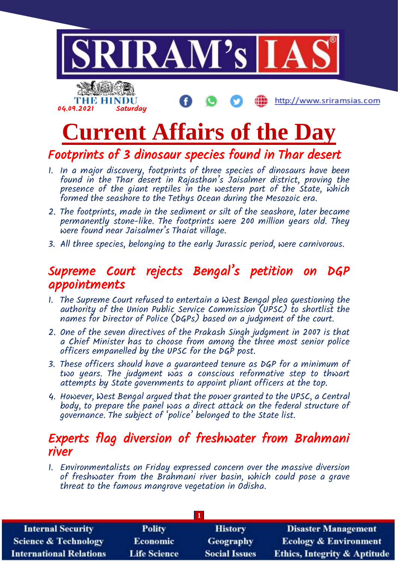

# **Current Affairs of the Day**

Footprints of 3 dinosaur species found in Thar desert

- 1. In a major discovery, footprints of three species of dinosaurs have been found in the Thar desert in Rajasthan's Jaisalmer district, proving the presence of the giant reptiles in the western part of the State, which formed the seashore to the Tethys Ocean during the Mesozoic era.
- 2. The footprints, made in the sediment or silt of the seashore, later became permanently stone-like. The footprints were 200 million years old. They were found near Jaisalmer's Thaiat village.
- 3. All three species, belonging to the early Jurassic period, were carnivorous.

# Supreme Court rejects Bengal's petition on DGP appointments

- 1. The Supreme Court refused to entertain a West Bengal plea questioning the authority of the Union Public Service Commission (UPSC) to shortlist the names for Director of Police (DGPs) based on a judgment of the court.
- 2. One of the seven directives of the Prakash Singh judgment in 2007 is that a Chief Minister has to choose from among the three most senior police officers empanelled by the UPSC for the DGP post.
- 3. These officers should have a guaranteed tenure as DGP for a minimum of two years. The judgment was a conscious reformative step to thwart attempts by State governments to appoint pliant officers at the top.
- 4. However, West Bengal argued that the power granted to the UPSC, a Central body, to prepare the panel was a direct attack on the federal structure of governance. The subject of 'police' belonged to the State list.

## Experts flag diversion of freshwater from Brahmani river

1. Environmentalists on Friday expressed concern over the massive diversion of freshwater from the Brahmani river basin, which could pose a grave threat to the famous mangrove vegetation in Odisha.

| <b>Internal Security</b>        | <b>Polity</b>       | <b>History</b>       | <b>Disaster Management</b>              |
|---------------------------------|---------------------|----------------------|-----------------------------------------|
| <b>Science &amp; Technology</b> | <b>Economic</b>     | <b>Geography</b>     | <b>Ecology &amp; Environment</b>        |
| <b>International Relations</b>  | <b>Life Science</b> | <b>Social Issues</b> | <b>Ethics, Integrity &amp; Aptitude</b> |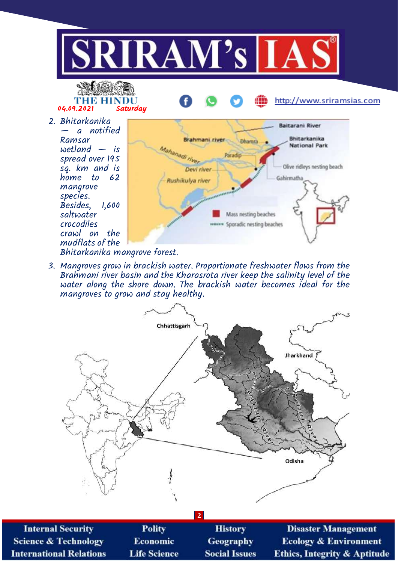

3. Mangroves grow in brackish water. Proportionate freshwater flows from the Brahmani river basin and the Kharasrota river keep the salinity level of the water along the shore down. The brackish water becomes ideal for the mangroves to grow and stay healthy.



| <b>Internal Security</b>        | <b>Polity</b>       | <b>History</b>       | <b>Disaster Management</b>              |
|---------------------------------|---------------------|----------------------|-----------------------------------------|
| <b>Science &amp; Technology</b> | <b>Economic</b>     | <b>Geography</b>     | <b>Ecology &amp; Environment</b>        |
| <b>International Relations</b>  | <b>Life Science</b> | <b>Social Issues</b> | <b>Ethics, Integrity &amp; Aptitude</b> |

 $\overline{2}$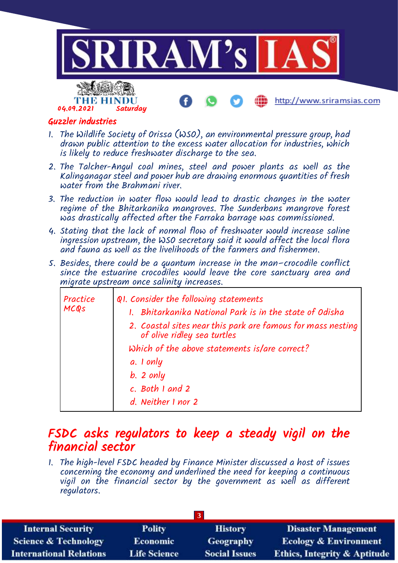

#### Guzzler industries

- 1. The Wildlife Society of Orissa (WSO), an environmental pressure group, had drawn public attention to the excess water allocation for industries, which is likely to reduce freshwater discharge to the sea.
- 2. The Talcher-Angul coal mines, steel and power plants as well as the Kalinganagar steel and power hub are drawing enormous quantities of fresh water from the Brahmani river.
- 3. The reduction in water flow would lead to drastic changes in the water regime of the Bhitarkanika mangroves. The Sunderbans mangrove forest was drastically affected after the Farraka barrage was commissioned.
- 4. Stating that the lack of normal flow of freshwater would increase saline ingression upstream, the WSO secretary said it would affect the local flora and fauna as well as the livelihoods of the farmers and fishermen.
- 5. Besides, there could be a quantum increase in the man–crocodile conflict since the estuarine crocodiles would leave the core sanctuary area and migrate upstream once salinity increases.

| Practice<br>MCQS | QI. Consider the following statements<br>1. Bhitarkanika National Park is in the state of Odisha<br>2. Coastal sites near this park are famous for mass nesting |
|------------------|-----------------------------------------------------------------------------------------------------------------------------------------------------------------|
|                  | of olive ridley sea turtles<br>Which of the above statements is/are correct?                                                                                    |
|                  | a. I only<br>b. 2 only                                                                                                                                          |
|                  | c. Both I and 2<br>d. Neither I nor 2                                                                                                                           |

## FSDC asks regulators to keep a steady vigil on the financial sector

1. The high-level FSDC headed by Finance Minister discussed a host of issues concerning the economy and underlined the need for keeping a continuous vigil on the financial sector by the government as well as different regulators.

| <b>Internal Security</b>        | Polity              | <b>History</b>       | <b>Disaster Management</b>              |
|---------------------------------|---------------------|----------------------|-----------------------------------------|
| <b>Science &amp; Technology</b> | <b>Economic</b>     | <b>Geography</b>     | <b>Ecology &amp; Environment</b>        |
| <b>International Relations</b>  | <b>Life Science</b> | <b>Social Issues</b> | <b>Ethics, Integrity &amp; Aptitude</b> |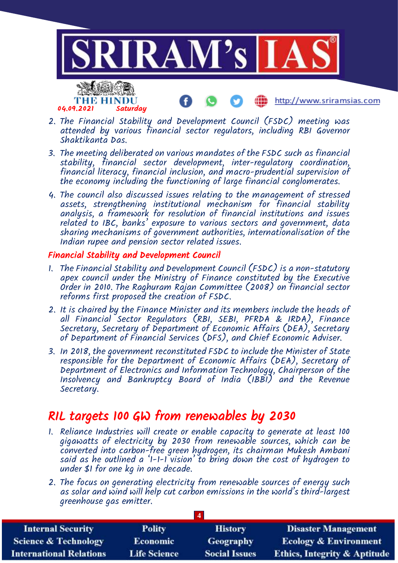

- 2. The Financial Stability and Development Council (FSDC) meeting was attended by various financial sector regulators, including RBI Governor Shaktikanta Das.
- 3. The meeting deliberated on various mandates of the FSDC such as financial stability, financial sector development, inter-regulatory coordination, financial literacy, financial inclusion, and macro-prudential supervision of the economy including the functioning of large financial conglomerates.
- 4. The council also discussed issues relating to the management of stressed assets, strengthening institutional mechanism for financial stability analysis, a framework for resolution of financial institutions and issues related to IBC, banks' exposure to various sectors and government, data sharing mechanisms of government authorities, internationalisation of the Indian rupee and pension sector related issues.

#### Financial Stability and Development Council

- 1. The Financial Stability and Development Council (FSDC) is a non-statutory apex council under the Ministry of Finance constituted by the Executive Order in 2010. The Raghuram Rajan Committee (2008) on financial sector reforms first proposed the creation of FSDC.
- 2. It is chaired by the Finance Minister and its members include the heads of all Financial Sector Regulators (RBI, SEBI, PFRDA & IRDA), Finance Secretary, Secretary of Department of Economic Affairs (DEA), Secretary of Department of Financial Services (DFS), and Chief Economic Adviser.
- 3. In 2018, the government reconstituted FSDC to include the Minister of State responsible for the Department of Economic Affairs (DEA), Secretary of Department of Electronics and Information Technology, Chairperson of the Insolvency and Bankruptcy Board of India (IBBI) and the Revenue Secretary.

## RIL targets 100 GW from renewables by 2030

- 1. Reliance Industries will create or enable capacity to generate at least 100 gigawatts of electricity by 2030 from renewable sources, which can be converted into carbon-free green hydrogen, its chairman Mukesh Ambani said as he outlined a '1-1-1 vision' to bring down the cost of hydrogen to under \$1 for one kg in one decade.
- 2. The focus on generating electricity from renewable sources of energy such as solar and wind will help cut carbon emissions in the world's third-largest greenhouse gas emitter.

| <b>Internal Security</b>        | Polity              | <b>History</b>       | <b>Disaster Management</b>              |
|---------------------------------|---------------------|----------------------|-----------------------------------------|
| <b>Science &amp; Technology</b> | <b>Economic</b>     | Geography            | <b>Ecology &amp; Environment</b>        |
| <b>International Relations</b>  | <b>Life Science</b> | <b>Social Issues</b> | <b>Ethics, Integrity &amp; Aptitude</b> |